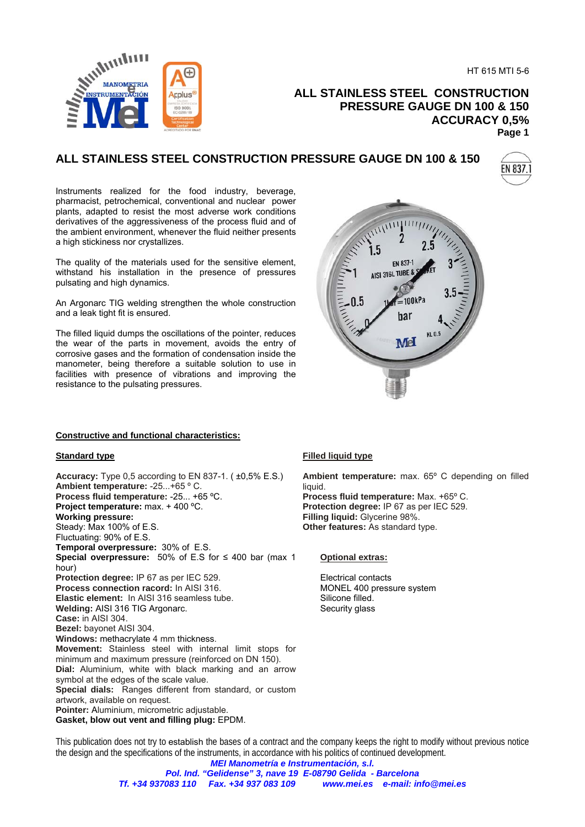HT 615 MTI 5-6



**ALL STAINLESS STEEL CONSTRUCTION PRESSURE GAUGE DN 100 & 150 ACCURACY 0,5% Page 1** 

# **ALL STAINLESS STEEL CONSTRUCTION PRESSURE GAUGE DN 100 & 150**



Instruments realized for the food industry, beverage, pharmacist, petrochemical, conventional and nuclear power plants, adapted to resist the most adverse work conditions derivatives of the aggressiveness of the process fluid and of the ambient environment, whenever the fluid neither presents a high stickiness nor crystallizes.

The quality of the materials used for the sensitive element, withstand his installation in the presence of pressures pulsating and high dynamics.

An Argonarc TIG welding strengthen the whole construction and a leak tight fit is ensured.

The filled liquid dumps the oscillations of the pointer, reduces the wear of the parts in movement, avoids the entry of corrosive gases and the formation of condensation inside the manometer, being therefore a suitable solution to use in facilities with presence of vibrations and improving the resistance to the pulsating pressures.



### **Constructive and functional characteristics:**

### **Standard type**

**Accuracy:** Type 0,5 according to EN 837-1. ( ±0,5% E.S.) **Ambient temperature:** -25...+65 º C. **Process fluid temperature:** -25... +65 ºC. **Project temperature:** max. + 400 ºC. **Working pressure:** Steady: Max 100% of E.S. Fluctuating: 90% of E.S. **Temporal overpressure:** 30% of E.S. **Special overpressure:** 50% of E.S for ≤ 400 bar (max 1 hour) **Protection degree:** IP 67 as per IEC 529. **Process connection racord:** In AISI 316. **Elastic element:** In AISI 316 seamless tube. **Welding:** AISI 316 TIG Argonarc. **Case:** in AISI 304. **Bezel:** bayonet AISI 304. **Windows:** methacrylate 4 mm thickness. **Movement:** Stainless steel with internal limit stops for minimum and maximum pressure (reinforced on DN 150). **Dial:** Aluminium, white with black marking and an arrow symbol at the edges of the scale value. **Special dials:** Ranges different from standard, or custom artwork, available on request. **Pointer:** Aluminium, micrometric adjustable. **Gasket, blow out vent and filling plug:** EPDM.

### **Filled liquid type**

**Ambient temperature:** max. 65º C depending on filled liquid. **Process fluid temperature:** Max. +65º C.

**Protection degree:** IP 67 as per IEC 529. **Filling liquid:** Glycerine 98%. **Other features:** As standard type.

#### **Optional extras:**

Electrical contacts MONEL 400 pressure system Silicone filled. Security glass

This publication does not try to establish the bases of a contract and the company keeps the right to modify without previous notice the design and the specifications of the instruments, in accordance with his politics of continued development.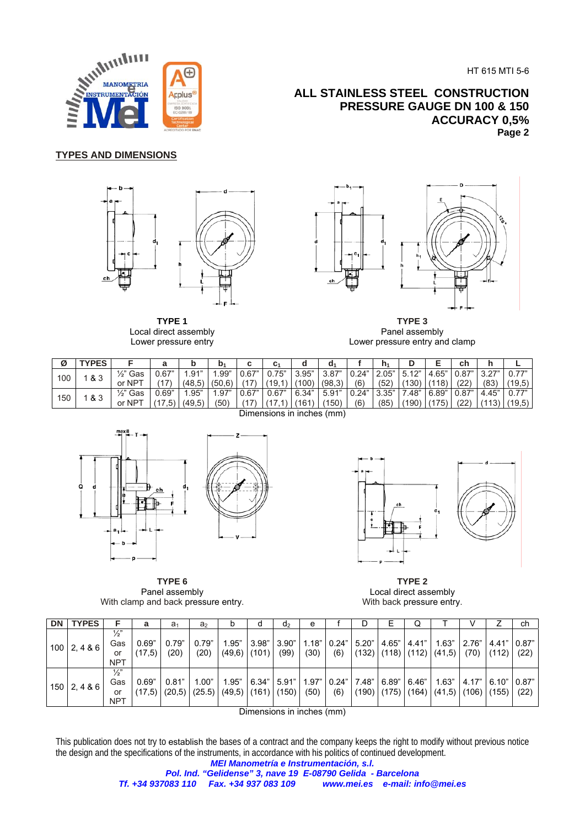HT 615 MTI 5-6

## **ALL STAINLESS STEEL CONSTRUCTION PRESSURE GAUGE DN 100 & 150 ACCURACY 0,5% Page 2**



## **TYPES AND DIMENSIONS**



**TYPE 1** Local direct assembly Lower pressure entry



**TYPE 3**  Panel assembly Lower pressure entry and clamp

| Ø   | YPES                                       |                      | а     | D      | b <sub>1</sub> | $\ddot{\phantom{1}}$<br>v | C.    | a     | d۱     |       | n <sub>1</sub> | D     | -     | сh    | h      | -      |
|-----|--------------------------------------------|----------------------|-------|--------|----------------|---------------------------|-------|-------|--------|-------|----------------|-------|-------|-------|--------|--------|
| 100 | & 3                                        | $\frac{1}{2}$<br>Gas | J.67" | .91"   | .99"           | 0.67"                     | J.75" | 3.95" | 3.87"  | J.24" | 2.05"          | 5.12" | .65"  | 0.87" | יידרים | 0.77   |
|     |                                            | or $NP^+$            | 17    | (48.5) | .6'<br>(50     | 47                        | 19'   | (100) | (98.3) | (6)   | (52)           | 130   | (18)  | (22)  | (83)   | (19.5) |
| 150 | & 3                                        | 1⁄2"<br>Gas          | 0.69" | .95"   | . .97"         | 0.67"                     | 0.67" | 6.34" | 5.91"  | 0.24" | 3.35"          | .48"  | 6.89" | 0.87" | $+45"$ | 0.77"  |
|     |                                            | or NP <sup>-</sup>   | .5)   | (49.5) | '50'           |                           |       | (161  | 150)   | (6)   | (85)           | 190)  | 75)   | (22)  | (113)  | (19,5) |
|     | Discoveries of the final contract (see all |                      |       |        |                |                           |       |       |        |       |                |       |       |       |        |        |



**TYPE 6**  Panel assembly With clamp and back pressure entry.

Dimensions in inches (mm)



**TYPE 2**  Local direct assembly With back pressure entry.

| <b>DN</b> | <b>TYPES</b>     |                                          | а               | a <sub>1</sub>           | a <sub>2</sub>  | b                             | d     | d <sub>2</sub> | e             |     | υ                 | ᄂ                   | Q     |                                                                                        |                |                | ch            |
|-----------|------------------|------------------------------------------|-----------------|--------------------------|-----------------|-------------------------------|-------|----------------|---------------|-----|-------------------|---------------------|-------|----------------------------------------------------------------------------------------|----------------|----------------|---------------|
|           | $100$   2, 4 & 6 | $\frac{1}{2}$<br>Gas<br>or<br><b>NPT</b> | 0.69"<br>(17.5) | 0.79"<br>(20)            | 0.79"<br>(20)   | 1.95"<br>$(49,6)$ (101)       | 3.98" | 3.90"<br>(99)  | 1.18"<br>(30) | (6) |                   |                     |       | $\vert 0.24 \vert$   5.20"   4.65"   4.41"   1.63"<br>$(132)$ $(118)$ $(112)$ $(41,5)$ | 2.76"<br>(70)  | 4.41"<br>(112) | 0.87"<br>(22) |
|           | $150$   2, 4 & 6 | $\frac{1}{2}$<br>Gas<br>or<br><b>NPT</b> | 0.69"           | 0.81"<br>$(17,5)$ (20,5) | 1.00"<br>(25.5) | 1.95"<br>$(49,5)$ (161) (150) | 6.34" | 5.91"          | 1.97"<br>(50) | (6) | 0.24" 7.48" 6.89" | $(190)$ (175) (164) | 6.46" | 1.63"<br>(41.5)                                                                        | 4.17"<br>(106) | 6.10"<br>(155) | 0.87"<br>(22) |

Dimensions in inches (mm)

This publication does not try to establish the bases of a contract and the company keeps the right to modify without previous notice the design and the specifications of the instruments, in accordance with his politics of continued development. *MEI Manometría e Instrumentación, s.l.*